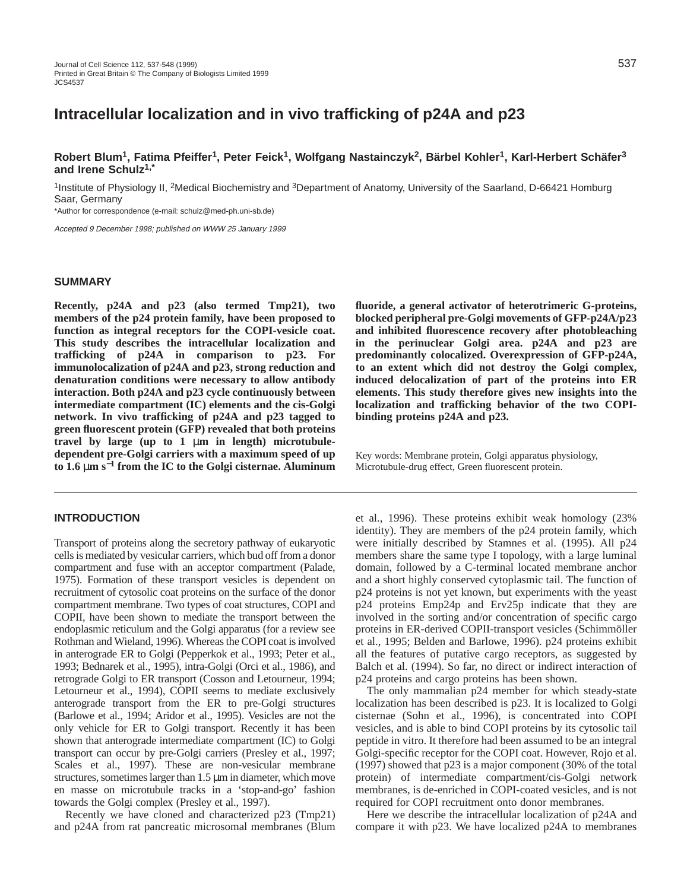# **Intracellular localization and in vivo trafficking of p24A and p23**

**Robert Blum1, Fatima Pfeiffer1, Peter Feick1, Wolfgang Nastainczyk2, Bärbel Kohler1, Karl-Herbert Schäfer3 and Irene Schulz1,\***

<sup>1</sup>Institute of Physiology II, <sup>2</sup>Medical Biochemistry and <sup>3</sup>Department of Anatomy, University of the Saarland, D-66421 Homburg Saar, Germany

\*Author for correspondence (e-mail: schulz@med-ph.uni-sb.de)

Accepted 9 December 1998; published on WWW 25 January 1999

### **SUMMARY**

**Recently, p24A and p23 (also termed Tmp21), two members of the p24 protein family, have been proposed to function as integral receptors for the COPI-vesicle coat. This study describes the intracellular localization and trafficking of p24A in comparison to p23. For immunolocalization of p24A and p23, strong reduction and denaturation conditions were necessary to allow antibody interaction. Both p24A and p23 cycle continuously between intermediate compartment (IC) elements and the cis-Golgi network. In vivo trafficking of p24A and p23 tagged to green fluorescent protein (GFP) revealed that both proteins travel by large (up to 1** µ**m in length) microtubuledependent pre-Golgi carriers with a maximum speed of up to 1.6** µ**m s**−**<sup>1</sup> from the IC to the Golgi cisternae. Aluminum**

### **INTRODUCTION**

Transport of proteins along the secretory pathway of eukaryotic cells is mediated by vesicular carriers, which bud off from a donor compartment and fuse with an acceptor compartment (Palade, 1975). Formation of these transport vesicles is dependent on recruitment of cytosolic coat proteins on the surface of the donor compartment membrane. Two types of coat structures, COPI and COPII, have been shown to mediate the transport between the endoplasmic reticulum and the Golgi apparatus (for a review see Rothman and Wieland, 1996). Whereas the COPI coat is involved in anterograde ER to Golgi (Pepperkok et al., 1993; Peter et al., 1993; Bednarek et al., 1995), intra-Golgi (Orci et al., 1986), and retrograde Golgi to ER transport (Cosson and Letourneur, 1994; Letourneur et al., 1994), COPII seems to mediate exclusively anterograde transport from the ER to pre-Golgi structures (Barlowe et al., 1994; Aridor et al., 1995). Vesicles are not the only vehicle for ER to Golgi transport. Recently it has been shown that anterograde intermediate compartment (IC) to Golgi transport can occur by pre-Golgi carriers (Presley et al., 1997; Scales et al., 1997). These are non-vesicular membrane structures, sometimes larger than 1.5 µm in diameter, which move en masse on microtubule tracks in a 'stop-and-go' fashion towards the Golgi complex (Presley et al., 1997).

Recently we have cloned and characterized p23 (Tmp21) and p24A from rat pancreatic microsomal membranes (Blum

**fluoride, a general activator of heterotrimeric G-proteins, blocked peripheral pre-Golgi movements of GFP-p24A/p23 and inhibited fluorescence recovery after photobleaching in the perinuclear Golgi area. p24A and p23 are predominantly colocalized. Overexpression of GFP-p24A, to an extent which did not destroy the Golgi complex, induced delocalization of part of the proteins into ER elements. This study therefore gives new insights into the localization and trafficking behavior of the two COPIbinding proteins p24A and p23.**

Key words: Membrane protein, Golgi apparatus physiology, Microtubule-drug effect, Green fluorescent protein.

et al., 1996). These proteins exhibit weak homology (23% identity). They are members of the p24 protein family, which were initially described by Stamnes et al. (1995). All p24 members share the same type I topology, with a large luminal domain, followed by a C-terminal located membrane anchor and a short highly conserved cytoplasmic tail. The function of p24 proteins is not yet known, but experiments with the yeast p24 proteins Emp24p and Erv25p indicate that they are involved in the sorting and/or concentration of specific cargo proteins in ER-derived COPII-transport vesicles (Schimmöller et al., 1995; Belden and Barlowe, 1996). p24 proteins exhibit all the features of putative cargo receptors, as suggested by Balch et al. (1994). So far, no direct or indirect interaction of p24 proteins and cargo proteins has been shown.

The only mammalian p24 member for which steady-state localization has been described is p23. It is localized to Golgi cisternae (Sohn et al., 1996), is concentrated into COPI vesicles, and is able to bind COPI proteins by its cytosolic tail peptide in vitro. It therefore had been assumed to be an integral Golgi-specific receptor for the COPI coat. However, Rojo et al. (1997) showed that p23 is a major component (30% of the total protein) of intermediate compartment/cis-Golgi network membranes, is de-enriched in COPI-coated vesicles, and is not required for COPI recruitment onto donor membranes.

Here we describe the intracellular localization of p24A and compare it with p23. We have localized p24A to membranes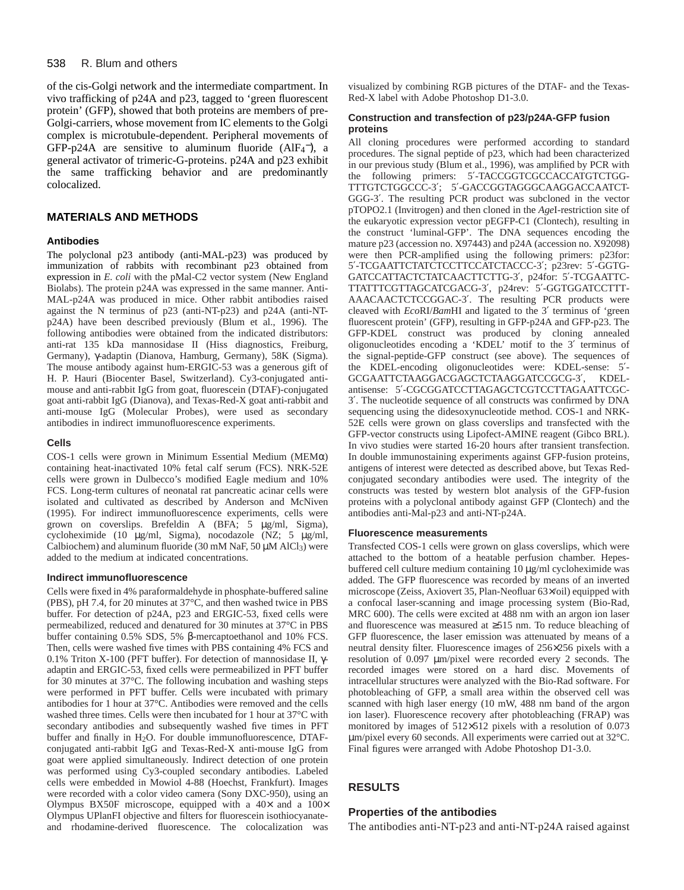### 538 R. Blum and others

of the cis-Golgi network and the intermediate compartment. In vivo trafficking of p24A and p23, tagged to 'green fluorescent protein' (GFP), showed that both proteins are members of pre-Golgi-carriers, whose movement from IC elements to the Golgi complex is microtubule-dependent. Peripheral movements of GFP-p24A are sensitive to aluminum fluoride  $(AIF_4^-)$ , a general activator of trimeric-G-proteins. p24A and p23 exhibit the same trafficking behavior and are predominantly colocalized.

## **MATERIALS AND METHODS**

### **Antibodies**

The polyclonal p23 antibody (anti-MAL-p23) was produced by immunization of rabbits with recombinant p23 obtained from expression in *E. coli* with the pMal-C2 vector system (New England Biolabs). The protein p24A was expressed in the same manner. Anti-MAL-p24A was produced in mice. Other rabbit antibodies raised against the N terminus of p23 (anti-NT-p23) and p24A (anti-NTp24A) have been described previously (Blum et al., 1996). The following antibodies were obtained from the indicated distributors: anti-rat 135 kDa mannosidase II (Hiss diagnostics, Freiburg, Germany), γ-adaptin (Dianova, Hamburg, Germany), 58K (Sigma). The mouse antibody against hum-ERGIC-53 was a generous gift of H. P. Hauri (Biocenter Basel, Switzerland). Cy3-conjugated antimouse and anti-rabbit IgG from goat, fluorescein (DTAF)-conjugated goat anti-rabbit IgG (Dianova), and Texas-Red-X goat anti-rabbit and anti-mouse IgG (Molecular Probes), were used as secondary antibodies in indirect immunofluorescence experiments.

### **Cells**

COS-1 cells were grown in Minimum Essential Medium (MEMα) containing heat-inactivated 10% fetal calf serum (FCS). NRK-52E cells were grown in Dulbecco's modified Eagle medium and 10% FCS. Long-term cultures of neonatal rat pancreatic acinar cells were isolated and cultivated as described by Anderson and McNiven (1995). For indirect immunofluorescence experiments, cells were grown on coverslips. Brefeldin A (BFA; 5 µg/ml, Sigma), cycloheximide (10 µg/ml, Sigma), nocodazole (NZ; 5 µg/ml, Calbiochem) and aluminum fluoride (30 mM NaF, 50  $\mu$ M AlCl<sub>3</sub>) were added to the medium at indicated concentrations.

### **Indirect immunofluorescence**

Cells were fixed in 4% paraformaldehyde in phosphate-buffered saline (PBS), pH 7.4, for 20 minutes at 37°C, and then washed twice in PBS buffer. For detection of p24A, p23 and ERGIC-53, fixed cells were permeabilized, reduced and denatured for 30 minutes at 37°C in PBS buffer containing 0.5% SDS, 5% β-mercaptoethanol and 10% FCS. Then, cells were washed five times with PBS containing 4% FCS and 0.1% Triton X-100 (PFT buffer). For detection of mannosidase II, γadaptin and ERGIC-53, fixed cells were permeabilized in PFT buffer for 30 minutes at 37°C. The following incubation and washing steps were performed in PFT buffer. Cells were incubated with primary antibodies for 1 hour at 37°C. Antibodies were removed and the cells washed three times. Cells were then incubated for 1 hour at 37°C with secondary antibodies and subsequently washed five times in PFT buffer and finally in H<sub>2</sub>O. For double immunofluorescence, DTAFconjugated anti-rabbit IgG and Texas-Red-X anti-mouse IgG from goat were applied simultaneously. Indirect detection of one protein was performed using Cy3-coupled secondary antibodies. Labeled cells were embedded in Mowiol 4-88 (Hoechst, Frankfurt). Images were recorded with a color video camera (Sony DXC-950), using an Olympus BX50F microscope, equipped with a  $40\times$  and a  $100\times$ Olympus UPlanFI objective and filters for fluorescein isothiocyanateand rhodamine-derived fluorescence. The colocalization was

visualized by combining RGB pictures of the DTAF- and the Texas-Red-X label with Adobe Photoshop D1-3.0.

### **Construction and transfection of p23/p24A-GFP fusion proteins**

All cloning procedures were performed according to standard procedures. The signal peptide of p23, which had been characterized in our previous study (Blum et al., 1996), was amplified by PCR with the following primers: 5′-TACCGGTCGCCACCATGTCTGG-TTTGTCTGGCCC-3′; 5′-GACCGGTAGGGCAAGGACCAATCT-GGG-3′. The resulting PCR product was subcloned in the vector pTOPO2.1 (Invitrogen) and then cloned in the *Age*I-restriction site of the eukaryotic expression vector pEGFP-C1 (Clontech), resulting in the construct 'luminal-GFP'. The DNA sequences encoding the mature p23 (accession no. X97443) and p24A (accession no. X92098) were then PCR-amplified using the following primers: p23for: 5′-TCGAATTCTATCTCCTTCCATCTACCC-3′; p23rev: 5′-GGTG-GATCCATTACTCTATCAACTTCTTG-3′, p24for: 5′-TCGAATTC-TTATTTCGTTAGCATCGACG-3′, p24rev: 5′-GGTGGATCCTTT-AAACAACTCTCCGGAC-3′. The resulting PCR products were cleaved with *Eco*RI/*Bam*HI and ligated to the 3′ terminus of 'green fluorescent protein' (GFP), resulting in GFP-p24A and GFP-p23. The GFP-KDEL construct was produced by cloning annealed oligonucleotides encoding a 'KDEL' motif to the 3′ terminus of the signal-peptide-GFP construct (see above). The sequences of the KDEL-encoding oligonucleotides were: KDEL-sense: 5′- GCGAATTCTAAGGACGAGCTCTAAGGATCCGCG-3′, KDELantisense: 5′-CGCGGATCCTTAGAGCTCGTCCTTAGAATTCGC-3′. The nucleotide sequence of all constructs was confirmed by DNA sequencing using the didesoxynucleotide method. COS-1 and NRK-52E cells were grown on glass coverslips and transfected with the GFP-vector constructs using Lipofect-AMINE reagent (Gibco BRL). In vivo studies were started 16-20 hours after transient transfection. In double immunostaining experiments against GFP-fusion proteins, antigens of interest were detected as described above, but Texas Redconjugated secondary antibodies were used. The integrity of the constructs was tested by western blot analysis of the GFP-fusion proteins with a polyclonal antibody against GFP (Clontech) and the antibodies anti-Mal-p23 and anti-NT-p24A.

### **Fluorescence measurements**

Transfected COS-1 cells were grown on glass coverslips, which were attached to the bottom of a heatable perfusion chamber. Hepesbuffered cell culture medium containing 10 µg/ml cycloheximide was added. The GFP fluorescence was recorded by means of an inverted microscope (Zeiss, Axiovert 35, Plan-Neofluar 63×/oil) equipped with a confocal laser-scanning and image processing system (Bio-Rad, MRC 600). The cells were excited at 488 nm with an argon ion laser and fluorescence was measured at ≥515 nm. To reduce bleaching of GFP fluorescence, the laser emission was attenuated by means of a neutral density filter. Fluorescence images of 256×256 pixels with a resolution of 0.097 µm/pixel were recorded every 2 seconds. The recorded images were stored on a hard disc. Movements of intracellular structures were analyzed with the Bio-Rad software. For photobleaching of GFP, a small area within the observed cell was scanned with high laser energy (10 mW, 488 nm band of the argon ion laser). Fluorescence recovery after photobleaching (FRAP) was monitored by images of 512×512 pixels with a resolution of 0.073 µm/pixel every 60 seconds. All experiments were carried out at 32°C. Final figures were arranged with Adobe Photoshop D1-3.0.

# **RESULTS**

### **Properties of the antibodies**

The antibodies anti-NT-p23 and anti-NT-p24A raised against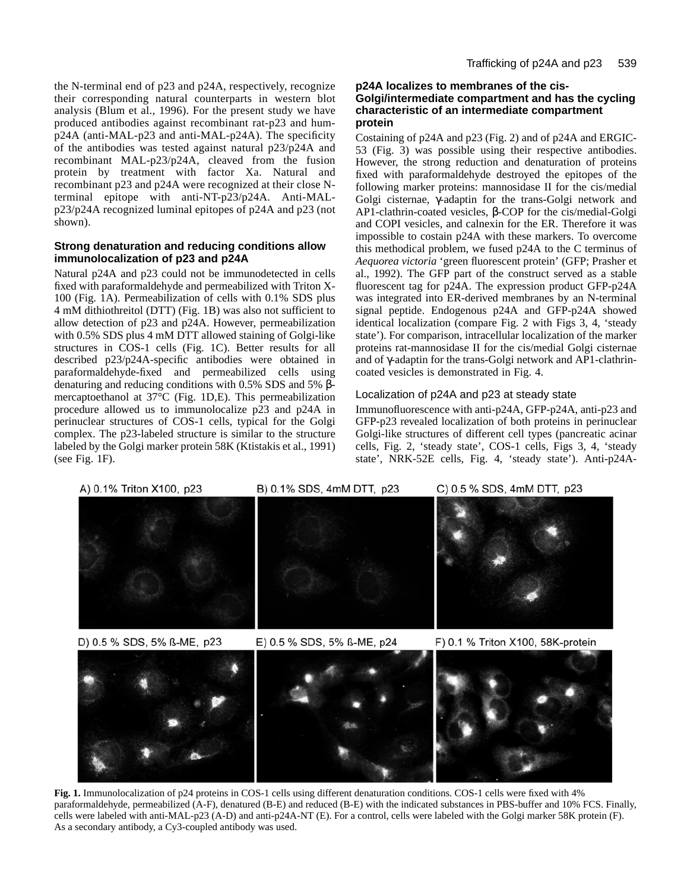the N-terminal end of p23 and p24A, respectively, recognize their corresponding natural counterparts in western blot analysis (Blum et al., 1996). For the present study we have produced antibodies against recombinant rat-p23 and hump24A (anti-MAL-p23 and anti-MAL-p24A). The specificity of the antibodies was tested against natural p23/p24A and recombinant MAL-p23/p24A, cleaved from the fusion protein by treatment with factor Xa. Natural and recombinant p23 and p24A were recognized at their close Nterminal epitope with anti-NT-p23/p24A. Anti-MALp23/p24A recognized luminal epitopes of p24A and p23 (not shown).

### **Strong denaturation and reducing conditions allow immunolocalization of p23 and p24A**

Natural p24A and p23 could not be immunodetected in cells fixed with paraformaldehyde and permeabilized with Triton X-100 (Fig. 1A). Permeabilization of cells with 0.1% SDS plus 4 mM dithiothreitol (DTT) (Fig. 1B) was also not sufficient to allow detection of p23 and p24A. However, permeabilization with 0.5% SDS plus 4 mM DTT allowed staining of Golgi-like structures in COS-1 cells (Fig. 1C). Better results for all described p23/p24A-specific antibodies were obtained in paraformaldehyde-fixed and permeabilized cells using denaturing and reducing conditions with 0.5% SDS and 5% βmercaptoethanol at 37°C (Fig. 1D,E). This permeabilization procedure allowed us to immunolocalize p23 and p24A in perinuclear structures of COS-1 cells, typical for the Golgi complex. The p23-labeled structure is similar to the structure labeled by the Golgi marker protein 58K (Ktistakis et al., 1991) (see Fig. 1F).

## **p24A localizes to membranes of the cis-Golgi/intermediate compartment and has the cycling characteristic of an intermediate compartment protein**

Costaining of p24A and p23 (Fig. 2) and of p24A and ERGIC-53 (Fig. 3) was possible using their respective antibodies. However, the strong reduction and denaturation of proteins fixed with paraformaldehyde destroyed the epitopes of the following marker proteins: mannosidase II for the cis/medial Golgi cisternae, γ-adaptin for the trans-Golgi network and AP1-clathrin-coated vesicles, β-COP for the cis/medial-Golgi and COPI vesicles, and calnexin for the ER. Therefore it was impossible to costain p24A with these markers. To overcome this methodical problem, we fused p24A to the C terminus of *Aequorea victoria* 'green fluorescent protein' (GFP; Prasher et al., 1992). The GFP part of the construct served as a stable fluorescent tag for p24A. The expression product GFP-p24A was integrated into ER-derived membranes by an N-terminal signal peptide. Endogenous p24A and GFP-p24A showed identical localization (compare Fig. 2 with Figs 3, 4, 'steady state'). For comparison, intracellular localization of the marker proteins rat-mannosidase II for the cis/medial Golgi cisternae and of γ-adaptin for the trans-Golgi network and AP1-clathrincoated vesicles is demonstrated in Fig. 4.

# Localization of p24A and p23 at steady state

Immunofluorescence with anti-p24A, GFP-p24A, anti-p23 and GFP-p23 revealed localization of both proteins in perinuclear Golgi-like structures of different cell types (pancreatic acinar cells, Fig. 2, 'steady state', COS-1 cells, Figs 3, 4, 'steady state', NRK-52E cells, Fig. 4, 'steady state'). Anti-p24A-

# C) 0.5 % SDS, 4mM DTT, p23 A) 0.1% Triton X100, p23 B) 0.1% SDS, 4mM DTT, p23

D) 0.5 % SDS, 5% ß-ME, p23

E) 0.5 % SDS, 5% ß-ME, p24



Fig. 1. Immunolocalization of p24 proteins in COS-1 cells using different denaturation conditions. COS-1 cells were fixed with 4% paraformaldehyde, permeabilized (A-F), denatured (B-E) and reduced (B-E) with the indicated substances in PBS-buffer and 10% FCS. Finally, cells were labeled with anti-MAL-p23 (A-D) and anti-p24A-NT (E). For a control, cells were labeled with the Golgi marker 58K protein (F). As a secondary antibody, a Cy3-coupled antibody was used.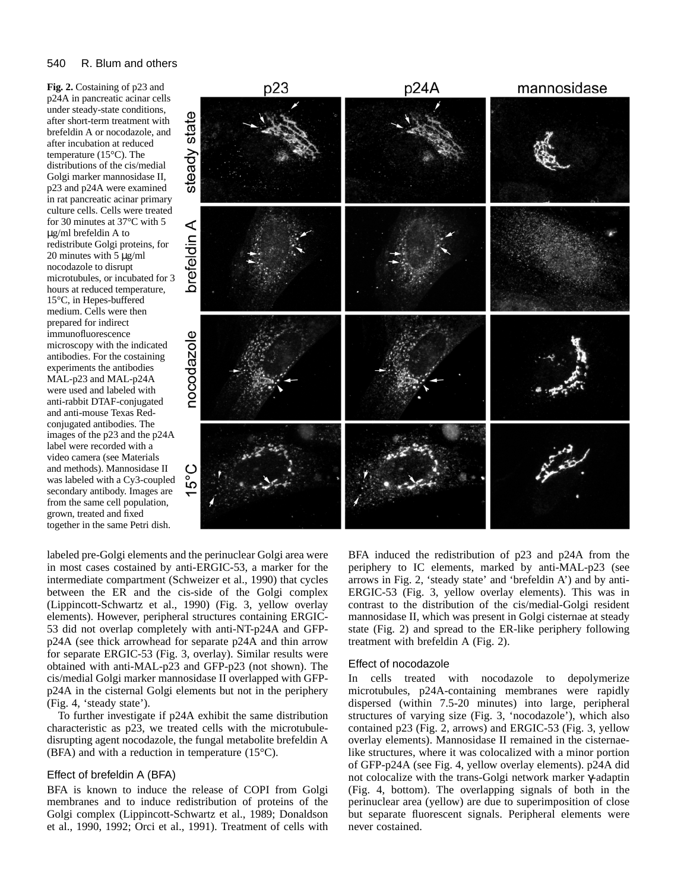### 540 R. Blum and others

**Fig. 2.** Costaining of p23 and p24A in pancreatic acinar cells under steady-state conditions, after short-term treatment with brefeldin A or nocodazole, and after incubation at reduced temperature (15°C). The distributions of the cis/medial Golgi marker mannosidase II, p23 and p24A were examined in rat pancreatic acinar primary culture cells. Cells were treated for 30 minutes at 37°C with 5 µg/ml brefeldin A to redistribute Golgi proteins, for 20 minutes with 5 µg/ml nocodazole to disrupt microtubules, or incubated for 3 hours at reduced temperature, 15°C, in Hepes-buffered medium. Cells were then prepared for indirect immunofluorescence microscopy with the indicated antibodies. For the costaining experiments the antibodies MAL-p23 and MAL-p24A were used and labeled with anti-rabbit DTAF-conjugated and anti-mouse Texas Redconjugated antibodies. The images of the p23 and the p24A label were recorded with a video camera (see Materials and methods). Mannosidase II was labeled with a Cy3-coupled secondary antibody. Images are from the same cell population, grown, treated and fixed together in the same Petri dish.



labeled pre-Golgi elements and the perinuclear Golgi area were in most cases costained by anti-ERGIC-53, a marker for the intermediate compartment (Schweizer et al., 1990) that cycles between the ER and the cis-side of the Golgi complex (Lippincott-Schwartz et al., 1990) (Fig. 3, yellow overlay elements). However, peripheral structures containing ERGIC-53 did not overlap completely with anti-NT-p24A and GFPp24A (see thick arrowhead for separate p24A and thin arrow for separate ERGIC-53 (Fig. 3, overlay). Similar results were obtained with anti-MAL-p23 and GFP-p23 (not shown). The cis/medial Golgi marker mannosidase II overlapped with GFPp24A in the cisternal Golgi elements but not in the periphery (Fig. 4, 'steady state').

To further investigate if p24A exhibit the same distribution characteristic as p23, we treated cells with the microtubuledisrupting agent nocodazole, the fungal metabolite brefeldin A (BFA) and with a reduction in temperature (15°C).

### Effect of brefeldin A (BFA)

BFA is known to induce the release of COPI from Golgi membranes and to induce redistribution of proteins of the Golgi complex (Lippincott-Schwartz et al., 1989; Donaldson et al., 1990, 1992; Orci et al., 1991). Treatment of cells with

BFA induced the redistribution of p23 and p24A from the periphery to IC elements, marked by anti-MAL-p23 (see arrows in Fig. 2, 'steady state' and 'brefeldin A') and by anti-ERGIC-53 (Fig. 3, yellow overlay elements). This was in contrast to the distribution of the cis/medial-Golgi resident mannosidase II, which was present in Golgi cisternae at steady state (Fig. 2) and spread to the ER-like periphery following treatment with brefeldin A (Fig. 2).

### Effect of nocodazole

In cells treated with nocodazole to depolymerize microtubules, p24A-containing membranes were rapidly dispersed (within 7.5-20 minutes) into large, peripheral structures of varying size (Fig. 3, 'nocodazole'), which also contained p23 (Fig. 2, arrows) and ERGIC-53 (Fig. 3, yellow overlay elements). Mannosidase II remained in the cisternaelike structures, where it was colocalized with a minor portion of GFP-p24A (see Fig. 4, yellow overlay elements). p24A did not colocalize with the trans-Golgi network marker γ-adaptin (Fig. 4, bottom). The overlapping signals of both in the perinuclear area (yellow) are due to superimposition of close but separate fluorescent signals. Peripheral elements were never costained.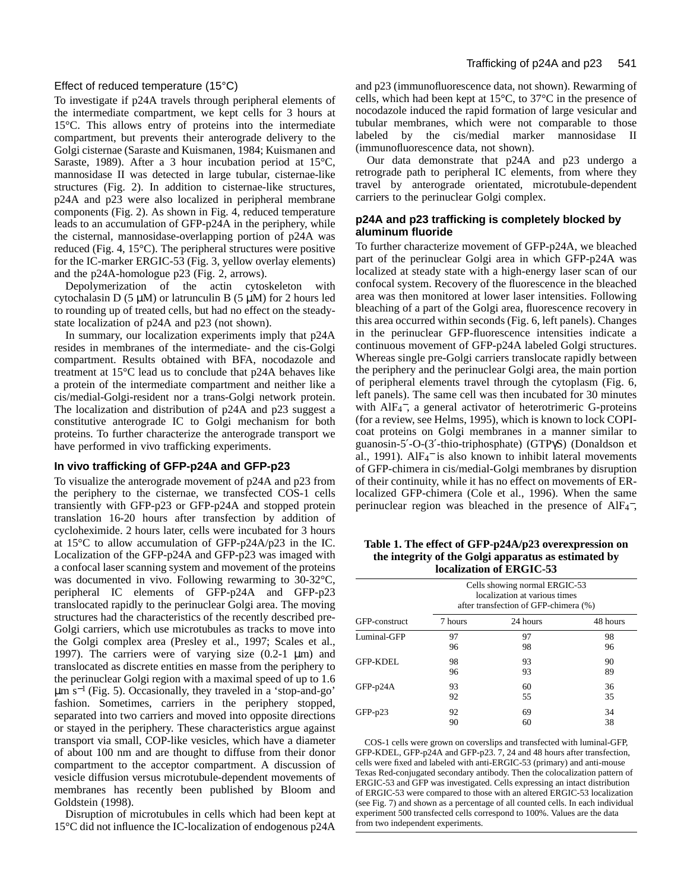### Effect of reduced temperature (15°C)

To investigate if p24A travels through peripheral elements of the intermediate compartment, we kept cells for 3 hours at 15°C. This allows entry of proteins into the intermediate compartment, but prevents their anterograde delivery to the Golgi cisternae (Saraste and Kuismanen, 1984; Kuismanen and Saraste, 1989). After a 3 hour incubation period at 15°C, mannosidase II was detected in large tubular, cisternae-like structures (Fig. 2). In addition to cisternae-like structures, p24A and p23 were also localized in peripheral membrane components (Fig. 2). As shown in Fig. 4, reduced temperature leads to an accumulation of GFP-p24A in the periphery, while the cisternal, mannosidase-overlapping portion of p24A was reduced (Fig. 4, 15°C). The peripheral structures were positive for the IC-marker ERGIC-53 (Fig. 3, yellow overlay elements) and the p24A-homologue p23 (Fig. 2, arrows).

Depolymerization of the actin cytoskeleton with cytochalasin D  $(5 \mu M)$  or latrunculin B  $(5 \mu M)$  for 2 hours led to rounding up of treated cells, but had no effect on the steadystate localization of p24A and p23 (not shown).

In summary, our localization experiments imply that p24A resides in membranes of the intermediate- and the cis-Golgi compartment. Results obtained with BFA, nocodazole and treatment at 15°C lead us to conclude that p24A behaves like a protein of the intermediate compartment and neither like a cis/medial-Golgi-resident nor a trans-Golgi network protein. The localization and distribution of p24A and p23 suggest a constitutive anterograde IC to Golgi mechanism for both proteins. To further characterize the anterograde transport we have performed in vivo trafficking experiments.

### **In vivo trafficking of GFP-p24A and GFP-p23**

To visualize the anterograde movement of p24A and p23 from the periphery to the cisternae, we transfected COS-1 cells transiently with GFP-p23 or GFP-p24A and stopped protein translation 16-20 hours after transfection by addition of cycloheximide. 2 hours later, cells were incubated for 3 hours at 15°C to allow accumulation of GFP-p24A/p23 in the IC. Localization of the GFP-p24A and GFP-p23 was imaged with a confocal laser scanning system and movement of the proteins was documented in vivo. Following rewarming to 30-32°C, peripheral IC elements of GFP-p24A and GFP-p23 translocated rapidly to the perinuclear Golgi area. The moving structures had the characteristics of the recently described pre-Golgi carriers, which use microtubules as tracks to move into the Golgi complex area (Presley et al., 1997; Scales et al., 1997). The carriers were of varying size  $(0.2-1 \mu m)$  and translocated as discrete entities en masse from the periphery to the perinuclear Golgi region with a maximal speed of up to 1.6  $\mu$ m s<sup>-1</sup> (Fig. 5). Occasionally, they traveled in a 'stop-and-go' fashion. Sometimes, carriers in the periphery stopped, separated into two carriers and moved into opposite directions or stayed in the periphery. These characteristics argue against transport via small, COP-like vesicles, which have a diameter of about 100 nm and are thought to diffuse from their donor compartment to the acceptor compartment. A discussion of vesicle diffusion versus microtubule-dependent movements of membranes has recently been published by Bloom and Goldstein (1998).

Disruption of microtubules in cells which had been kept at 15°C did not influence the IC-localization of endogenous p24A

and p23 (immunofluorescence data, not shown). Rewarming of cells, which had been kept at 15°C, to 37°C in the presence of nocodazole induced the rapid formation of large vesicular and tubular membranes, which were not comparable to those labeled by the cis/medial marker mannosidase II (immunofluorescence data, not shown).

Our data demonstrate that p24A and p23 undergo a retrograde path to peripheral IC elements, from where they travel by anterograde orientated, microtubule-dependent carriers to the perinuclear Golgi complex.

### **p24A and p23 trafficking is completely blocked by aluminum fluoride**

To further characterize movement of GFP-p24A, we bleached part of the perinuclear Golgi area in which GFP-p24A was localized at steady state with a high-energy laser scan of our confocal system. Recovery of the fluorescence in the bleached area was then monitored at lower laser intensities. Following bleaching of a part of the Golgi area, fluorescence recovery in this area occurred within seconds (Fig. 6, left panels). Changes in the perinuclear GFP-fluorescence intensities indicate a continuous movement of GFP-p24A labeled Golgi structures. Whereas single pre-Golgi carriers translocate rapidly between the periphery and the perinuclear Golgi area, the main portion of peripheral elements travel through the cytoplasm (Fig. 6, left panels). The same cell was then incubated for 30 minutes with AlF<sub>4</sub><sup>-</sup>, a general activator of heterotrimeric G-proteins (for a review, see Helms, 1995), which is known to lock COPIcoat proteins on Golgi membranes in a manner similar to guanosin-5′-O-(3′-thio-triphosphate) (GTPγS) (Donaldson et al., 1991). AlF<sub>4</sub><sup>-</sup> is also known to inhibit lateral movements of GFP-chimera in cis/medial-Golgi membranes by disruption of their continuity, while it has no effect on movements of ERlocalized GFP-chimera (Cole et al., 1996). When the same perinuclear region was bleached in the presence of AlF<sub>4</sub><sup>-</sup>,

**Table 1. The effect of GFP-p24A/p23 overexpression on the integrity of the Golgi apparatus as estimated by localization of ERGIC-53**

| GFP-construct   | Cells showing normal ERGIC-53<br>localization at various times<br>after transfection of GFP-chimera (%) |          |          |
|-----------------|---------------------------------------------------------------------------------------------------------|----------|----------|
|                 | 7 hours                                                                                                 | 24 hours | 48 hours |
| Luminal-GFP     | 97                                                                                                      | 97       | 98       |
|                 | 96                                                                                                      | 98       | 96       |
| <b>GFP-KDEL</b> | 98                                                                                                      | 93       | 90       |
|                 | 96                                                                                                      | 93       | 89       |
| $GFP-p24A$      | 93                                                                                                      | 60       | 36       |
|                 | 92                                                                                                      | 55       | 35       |
| $GFP-p23$       | 92                                                                                                      | 69       | 34       |
|                 | 90                                                                                                      | 60       | 38       |

COS-1 cells were grown on coverslips and transfected with luminal-GFP, GFP-KDEL, GFP-p24A and GFP-p23. 7, 24 and 48 hours after transfection, cells were fixed and labeled with anti-ERGIC-53 (primary) and anti-mouse Texas Red-conjugated secondary antibody. Then the colocalization pattern of ERGIC-53 and GFP was investigated. Cells expressing an intact distribution of ERGIC-53 were compared to those with an altered ERGIC-53 localization (see Fig. 7) and shown as a percentage of all counted cells. In each individual experiment 500 transfected cells correspond to 100%. Values are the data from two independent experiments.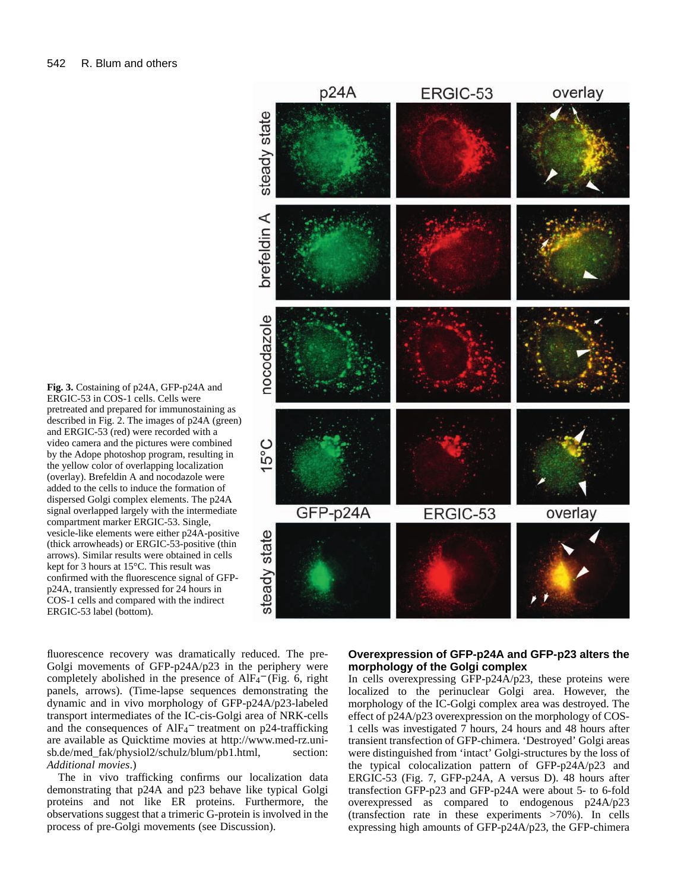**Fig. 3.** Costaining of p24A, GFP-p24A and ERGIC-53 in COS-1 cells. Cells were pretreated and prepared for immunostaining as described in Fig. 2. The images of p24A (green) and ERGIC-53 (red) were recorded with a video camera and the pictures were combined by the Adope photoshop program, resulting in the yellow color of overlapping localization (overlay). Brefeldin A and nocodazole were added to the cells to induce the formation of dispersed Golgi complex elements. The p24A signal overlapped largely with the intermediate compartment marker ERGIC-53. Single, vesicle-like elements were either p24A-positive (thick arrowheads) or ERGIC-53-positive (thin arrows). Similar results were obtained in cells kept for 3 hours at 15°C. This result was confirmed with the fluorescence signal of GFPp24A, transiently expressed for 24 hours in COS-1 cells and compared with the indirect

fluorescence recovery was dramatically reduced. The pre-Golgi movements of GFP-p24A/p23 in the periphery were completely abolished in the presence of  $AIF<sub>4</sub><sup>-</sup>$  (Fig. 6, right panels, arrows). (Time-lapse sequences demonstrating the dynamic and in vivo morphology of GFP-p24A/p23-labeled transport intermediates of the IC-cis-Golgi area of NRK-cells and the consequences of AlF<sub>4</sub><sup>-</sup> treatment on p24-trafficking are available as Quicktime movies at http://www.med-rz.unisb.de/med\_fak/physiol2/schulz/blum/pb1.html, section: ERGIC-53 label (bottom).

*Additional movies*.)

The in vivo trafficking confirms our localization data demonstrating that p24A and p23 behave like typical Golgi proteins and not like ER proteins. Furthermore, the observations suggest that a trimeric G-protein is involved in the process of pre-Golgi movements (see Discussion).



# **Overexpression of GFP-p24A and GFP-p23 alters the morphology of the Golgi complex**

In cells overexpressing GFP-p24A/p23, these proteins were localized to the perinuclear Golgi area. However, the morphology of the IC-Golgi complex area was destroyed. The effect of p24A/p23 overexpression on the morphology of COS-1 cells was investigated 7 hours, 24 hours and 48 hours after transient transfection of GFP-chimera. 'Destroyed' Golgi areas were distinguished from 'intact' Golgi-structures by the loss of the typical colocalization pattern of GFP-p24A/p23 and ERGIC-53 (Fig. 7, GFP-p24A, A versus D). 48 hours after transfection GFP-p23 and GFP-p24A were about 5- to 6-fold overexpressed as compared to endogenous p24A/p23 (transfection rate in these experiments >70%). In cells expressing high amounts of GFP-p24A/p23, the GFP-chimera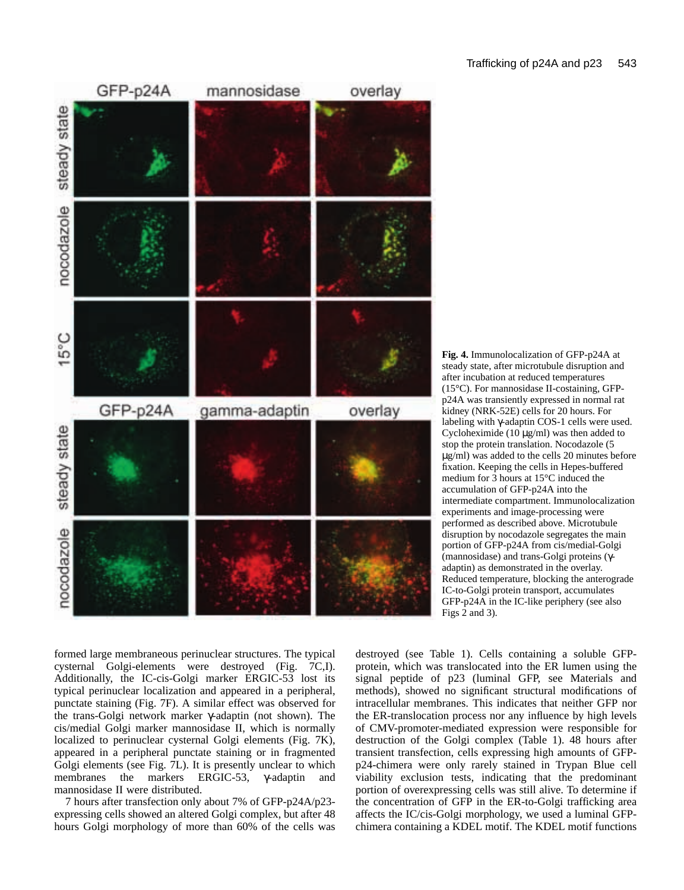

**Fig. 4.** Immunolocalization of GFP-p24A at steady state, after microtubule disruption and after incubation at reduced temperatures (15°C). For mannosidase II-costaining, GFPp24A was transiently expressed in normal rat kidney (NRK-52E) cells for 20 hours. For labeling with γ-adaptin COS-1 cells were used. Cycloheximide (10  $\mu$ g/ml) was then added to stop the protein translation. Nocodazole (5 µg/ml) was added to the cells 20 minutes before fixation. Keeping the cells in Hepes-buffered medium for 3 hours at 15°C induced the accumulation of GFP-p24A into the intermediate compartment. Immunolocalization experiments and image-processing were performed as described above. Microtubule disruption by nocodazole segregates the main portion of GFP-p24A from cis/medial-Golgi (mannosidase) and trans-Golgi proteins (γadaptin) as demonstrated in the overlay. Reduced temperature, blocking the anterograde IC-to-Golgi protein transport, accumulates GFP-p24A in the IC-like periphery (see also Figs  $2$  and 3).

formed large membraneous perinuclear structures. The typical cysternal Golgi-elements were destroyed (Fig. 7C,I). Additionally, the IC-cis-Golgi marker ERGIC-53 lost its typical perinuclear localization and appeared in a peripheral, punctate staining (Fig. 7F). A similar effect was observed for the trans-Golgi network marker γ-adaptin (not shown). The cis/medial Golgi marker mannosidase II, which is normally localized to perinuclear cysternal Golgi elements (Fig. 7K), appeared in a peripheral punctate staining or in fragmented Golgi elements (see Fig. 7L). It is presently unclear to which membranes the markers ERGIC-53, γ-adaptin and mannosidase II were distributed.

7 hours after transfection only about 7% of GFP-p24A/p23 expressing cells showed an altered Golgi complex, but after 48 hours Golgi morphology of more than 60% of the cells was

destroyed (see Table 1). Cells containing a soluble GFPprotein, which was translocated into the ER lumen using the signal peptide of p23 (luminal GFP, see Materials and methods), showed no significant structural modifications of intracellular membranes. This indicates that neither GFP nor the ER-translocation process nor any influence by high levels of CMV-promoter-mediated expression were responsible for destruction of the Golgi complex (Table 1). 48 hours after transient transfection, cells expressing high amounts of GFPp24-chimera were only rarely stained in Trypan Blue cell viability exclusion tests, indicating that the predominant portion of overexpressing cells was still alive. To determine if the concentration of GFP in the ER-to-Golgi trafficking area affects the IC/cis-Golgi morphology, we used a luminal GFPchimera containing a KDEL motif. The KDEL motif functions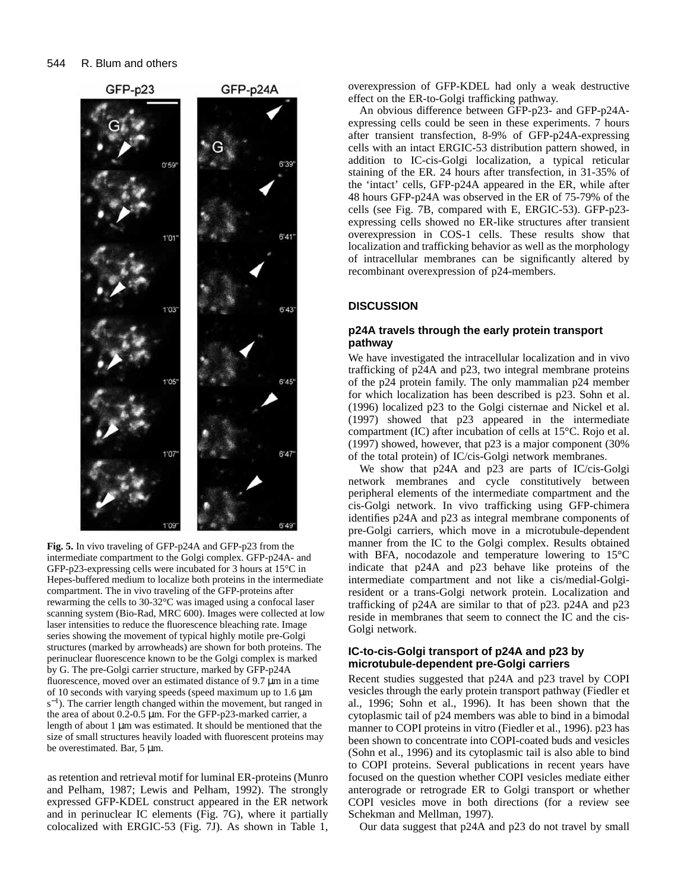

**Fig. 5.** In vivo traveling of GFP-p24A and GFP-p23 from the intermediate compartment to the Golgi complex. GFP-p24A- and GFP-p23-expressing cells were incubated for 3 hours at 15°C in Hepes-buffered medium to localize both proteins in the intermediate compartment. The in vivo traveling of the GFP-proteins after rewarming the cells to 30-32°C was imaged using a confocal laser scanning system (Bio-Rad, MRC 600). Images were collected at low laser intensities to reduce the fluorescence bleaching rate. Image series showing the movement of typical highly motile pre-Golgi structures (marked by arrowheads) are shown for both proteins. The perinuclear fluorescence known to be the Golgi complex is marked by G. The pre-Golgi carrier structure, marked by GFP-p24A fluorescence, moved over an estimated distance of 9.7 µm in a time of 10 seconds with varying speeds (speed maximum up to 1.6 µm s<sup>-1</sup>). The carrier length changed within the movement, but ranged in the area of about 0.2-0.5 µm. For the GFP-p23-marked carrier, a length of about 1 µm was estimated. It should be mentioned that the size of small structures heavily loaded with fluorescent proteins may be overestimated. Bar, 5 µm.

as retention and retrieval motif for luminal ER-proteins (Munro and Pelham, 1987; Lewis and Pelham, 1992). The strongly expressed GFP-KDEL construct appeared in the ER network and in perinuclear IC elements (Fig. 7G), where it partially colocalized with ERGIC-53 (Fig. 7J). As shown in Table 1, overexpression of GFP-KDEL had only a weak destructive effect on the ER-to-Golgi trafficking pathway.

An obvious difference between GFP-p23- and GFP-p24Aexpressing cells could be seen in these experiments. 7 hours after transient transfection, 8-9% of GFP-p24A-expressing cells with an intact ERGIC-53 distribution pattern showed, in addition to IC-cis-Golgi localization, a typical reticular staining of the ER. 24 hours after transfection, in 31-35% of the 'intact' cells, GFP-p24A appeared in the ER, while after 48 hours GFP-p24A was observed in the ER of 75-79% of the cells (see Fig. 7B, compared with E, ERGIC-53). GFP-p23 expressing cells showed no ER-like structures after transient overexpression in COS-1 cells. These results show that localization and trafficking behavior as well as the morphology of intracellular membranes can be significantly altered by recombinant overexpression of p24-members.

## **DISCUSSION**

### **p24A travels through the early protein transport pathway**

We have investigated the intracellular localization and in vivo trafficking of p24A and p23, two integral membrane proteins of the p24 protein family. The only mammalian p24 member for which localization has been described is p23. Sohn et al. (1996) localized p23 to the Golgi cisternae and Nickel et al. (1997) showed that p23 appeared in the intermediate compartment (IC) after incubation of cells at 15°C. Rojo et al. (1997) showed, however, that p23 is a major component (30% of the total protein) of IC/cis-Golgi network membranes.

We show that p24A and p23 are parts of IC/cis-Golgi network membranes and cycle constitutively between peripheral elements of the intermediate compartment and the cis-Golgi network. In vivo trafficking using GFP-chimera identifies p24A and p23 as integral membrane components of pre-Golgi carriers, which move in a microtubule-dependent manner from the IC to the Golgi complex. Results obtained with BFA, nocodazole and temperature lowering to 15°C indicate that p24A and p23 behave like proteins of the intermediate compartment and not like a cis/medial-Golgiresident or a trans-Golgi network protein. Localization and trafficking of p24A are similar to that of p23. p24A and p23 reside in membranes that seem to connect the IC and the cis-Golgi network.

### **IC-to-cis-Golgi transport of p24A and p23 by microtubule-dependent pre-Golgi carriers**

Recent studies suggested that p24A and p23 travel by COPI vesicles through the early protein transport pathway (Fiedler et al., 1996; Sohn et al., 1996). It has been shown that the cytoplasmic tail of p24 members was able to bind in a bimodal manner to COPI proteins in vitro (Fiedler et al., 1996). p23 has been shown to concentrate into COPI-coated buds and vesicles (Sohn et al., 1996) and its cytoplasmic tail is also able to bind to COPI proteins. Several publications in recent years have focused on the question whether COPI vesicles mediate either anterograde or retrograde ER to Golgi transport or whether COPI vesicles move in both directions (for a review see Schekman and Mellman, 1997).

Our data suggest that p24A and p23 do not travel by small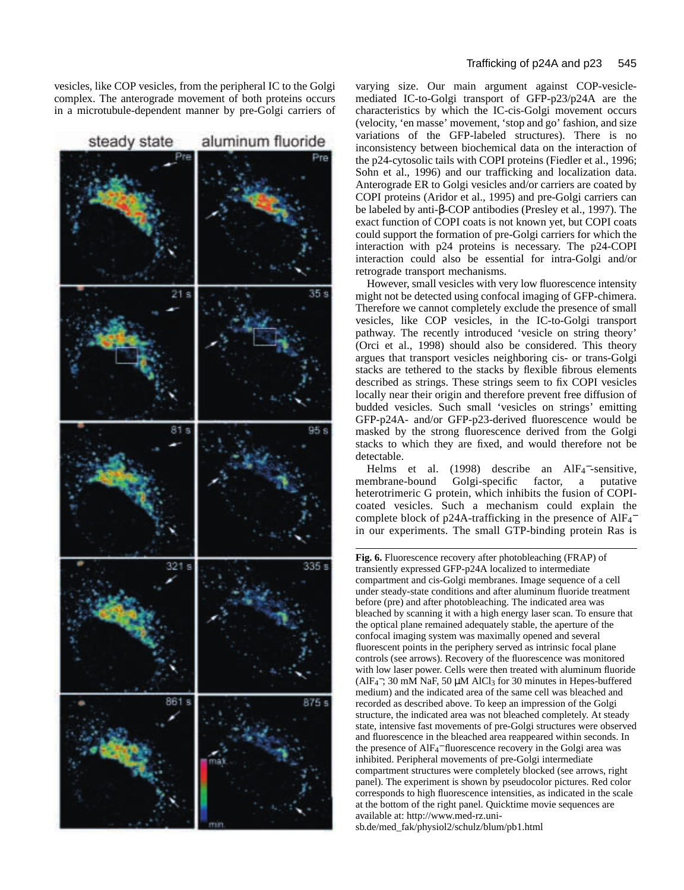vesicles, like COP vesicles, from the peripheral IC to the Golgi complex. The anterograde movement of both proteins occurs in a microtubule-dependent manner by pre-Golgi carriers of



varying size. Our main argument against COP-vesiclemediated IC-to-Golgi transport of GFP-p23/p24A are the characteristics by which the IC-cis-Golgi movement occurs (velocity, 'en masse' movement, 'stop and go' fashion, and size variations of the GFP-labeled structures). There is no inconsistency between biochemical data on the interaction of the p24-cytosolic tails with COPI proteins (Fiedler et al., 1996; Sohn et al., 1996) and our trafficking and localization data. Anterograde ER to Golgi vesicles and/or carriers are coated by COPI proteins (Aridor et al., 1995) and pre-Golgi carriers can be labeled by anti-β-COP antibodies (Presley et al., 1997). The exact function of COPI coats is not known yet, but COPI coats could support the formation of pre-Golgi carriers for which the interaction with p24 proteins is necessary. The p24-COPI interaction could also be essential for intra-Golgi and/or retrograde transport mechanisms.

However, small vesicles with very low fluorescence intensity might not be detected using confocal imaging of GFP-chimera. Therefore we cannot completely exclude the presence of small vesicles, like COP vesicles, in the IC-to-Golgi transport pathway. The recently introduced 'vesicle on string theory' (Orci et al., 1998) should also be considered. This theory argues that transport vesicles neighboring cis- or trans-Golgi stacks are tethered to the stacks by flexible fibrous elements described as strings. These strings seem to fix COPI vesicles locally near their origin and therefore prevent free diffusion of budded vesicles. Such small 'vesicles on strings' emitting GFP-p24A- and/or GFP-p23-derived fluorescence would be masked by the strong fluorescence derived from the Golgi stacks to which they are fixed, and would therefore not be detectable.

Helms et al. (1998) describe an AlF<sub>4</sub><sup>-</sup>-sensitive, membrane-bound Golgi-specific factor, a putative heterotrimeric G protein, which inhibits the fusion of COPIcoated vesicles. Such a mechanism could explain the complete block of p24A-trafficking in the presence of  $AIF_4^$ in our experiments. The small GTP-binding protein Ras is

**Fig. 6.** Fluorescence recovery after photobleaching (FRAP) of transiently expressed GFP-p24A localized to intermediate compartment and cis-Golgi membranes. Image sequence of a cell under steady-state conditions and after aluminum fluoride treatment before (pre) and after photobleaching. The indicated area was bleached by scanning it with a high energy laser scan. To ensure that the optical plane remained adequately stable, the aperture of the confocal imaging system was maximally opened and several fluorescent points in the periphery served as intrinsic focal plane controls (see arrows). Recovery of the fluorescence was monitored with low laser power. Cells were then treated with aluminum fluoride (AlF<sub>4</sub><sup>-</sup>; 30 mM NaF, 50  $\mu$ M AlCl<sub>3</sub> for 30 minutes in Hepes-buffered medium) and the indicated area of the same cell was bleached and recorded as described above. To keep an impression of the Golgi structure, the indicated area was not bleached completely. At steady state, intensive fast movements of pre-Golgi structures were observed and fluorescence in the bleached area reappeared within seconds. In the presence of AlF<sub>4</sub><sup>-</sup> fluorescence recovery in the Golgi area was inhibited. Peripheral movements of pre-Golgi intermediate compartment structures were completely blocked (see arrows, right panel). The experiment is shown by pseudocolor pictures. Red color corresponds to high fluorescence intensities, as indicated in the scale at the bottom of the right panel. Quicktime movie sequences are available at: http://www.med-rz.unisb.de/med\_fak/physiol2/schulz/blum/pb1.html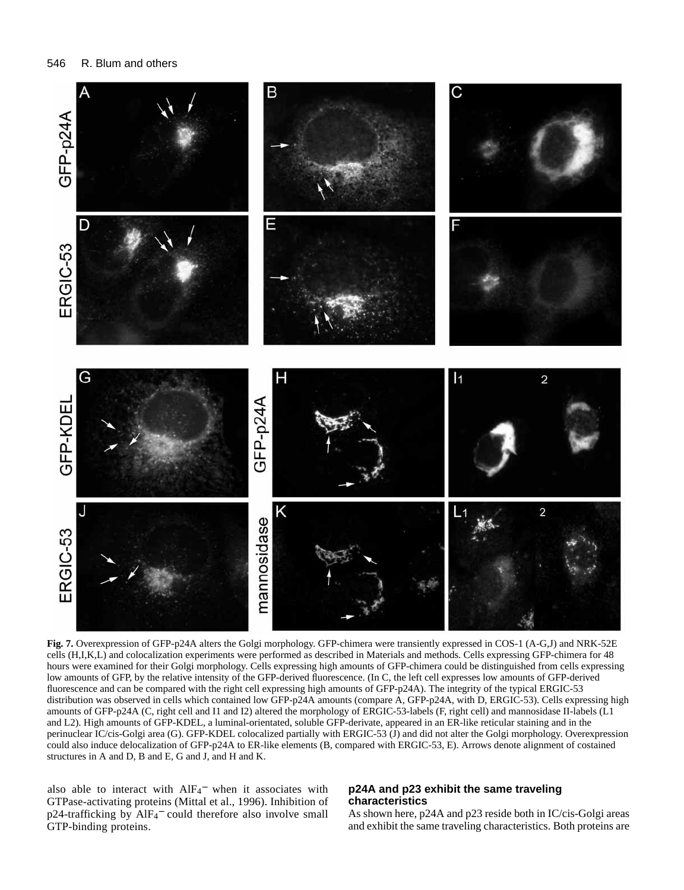

**Fig. 7.** Overexpression of GFP-p24A alters the Golgi morphology. GFP-chimera were transiently expressed in COS-1 (A-G,J) and NRK-52E cells (H,I,K,L) and colocalization experiments were performed as described in Materials and methods. Cells expressing GFP-chimera for 48 hours were examined for their Golgi morphology. Cells expressing high amounts of GFP-chimera could be distinguished from cells expressing low amounts of GFP, by the relative intensity of the GFP-derived fluorescence. (In C, the left cell expresses low amounts of GFP-derived fluorescence and can be compared with the right cell expressing high amounts of GFP-p24A). The integrity of the typical ERGIC-53 distribution was observed in cells which contained low GFP-p24A amounts (compare A, GFP-p24A, with D, ERGIC-53). Cells expressing high amounts of GFP-p24A (C, right cell and I1 and I2) altered the morphology of ERGIC-53-labels (F, right cell) and mannosidase II-labels (L1 and L2). High amounts of GFP-KDEL, a luminal-orientated, soluble GFP-derivate, appeared in an ER-like reticular staining and in the perinuclear IC/cis-Golgi area (G). GFP-KDEL colocalized partially with ERGIC-53 (J) and did not alter the Golgi morphology. Overexpression could also induce delocalization of GFP-p24A to ER-like elements (B, compared with ERGIC-53, E). Arrows denote alignment of costained structures in A and D, B and E, G and J, and H and K.

also able to interact with  $AIF_4^-$  when it associates with GTPase-activating proteins (Mittal et al., 1996). Inhibition of p24-trafficking by AlF<sub>4</sub><sup>-</sup> could therefore also involve small GTP-binding proteins.

# **p24A and p23 exhibit the same traveling characteristics**

As shown here, p24A and p23 reside both in IC/cis-Golgi areas and exhibit the same traveling characteristics. Both proteins are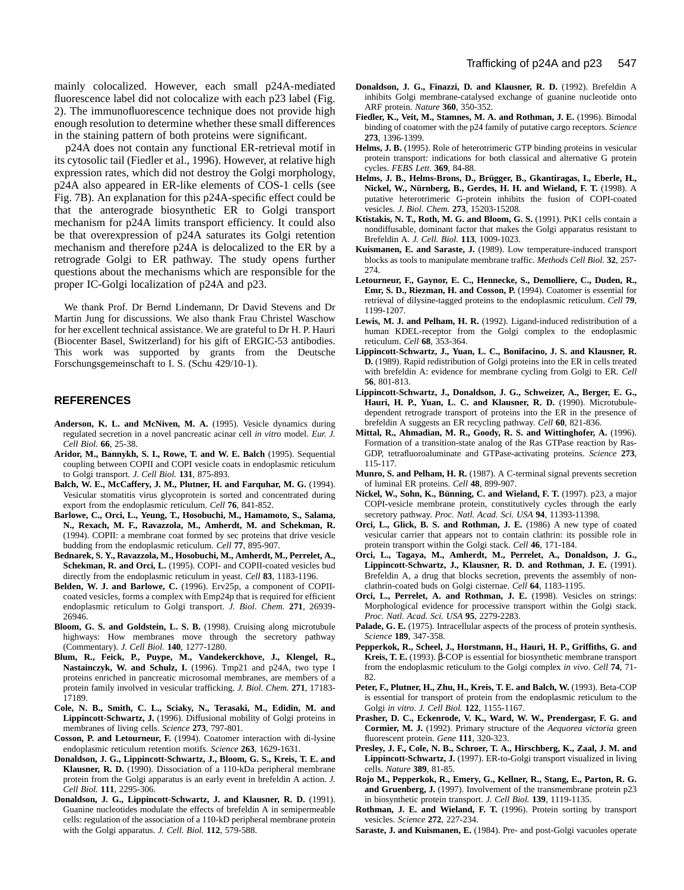p24A does not contain any functional ER-retrieval motif in its cytosolic tail (Fiedler et al., 1996). However, at relative high expression rates, which did not destroy the Golgi morphology, p24A also appeared in ER-like elements of COS-1 cells (see Fig. 7B). An explanation for this p24A-specific effect could be that the anterograde biosynthetic ER to Golgi transport mechanism for p24A limits transport efficiency. It could also be that overexpression of p24A saturates its Golgi retention mechanism and therefore p24A is delocalized to the ER by a retrograde Golgi to ER pathway. The study opens further questions about the mechanisms which are responsible for the proper IC-Golgi localization of p24A and p23.

We thank Prof. Dr Bernd Lindemann, Dr David Stevens and Dr Martin Jung for discussions. We also thank Frau Christel Waschow for her excellent technical assistance. We are grateful to Dr H. P. Hauri (Biocenter Basel, Switzerland) for his gift of ERGIC-53 antibodies. This work was supported by grants from the Deutsche Forschungsgemeinschaft to I. S. (Schu 429/10-1).

### **REFERENCES**

- Anderson, K. L. and McNiven, M. A. (1995). Vesicle dynamics during regulated secretion in a novel pancreatic acinar cell *in vitro* model. *Eur. J. Cell Biol.* **66**, 25-38.
- **Aridor, M., Bannykh, S. I., Rowe, T. and W. E. Balch** (1995). Sequential coupling between COPII and COPI vesicle coats in endoplasmic reticulum to Golgi transport. *J. Cell Biol.* **131**, 875-893.
- **Balch, W. E., McCaffery, J. M., Plutner, H. and Farquhar, M. G.** (1994). Vesicular stomatitis virus glycoprotein is sorted and concentrated during export from the endoplasmic reticulum. *Cell* **76**, 841-852.
- **Barlowe, C., Orci, L., Yeung, T., Hosobuchi, M., Hamamoto, S., Salama, N., Rexach, M. F., Ravazzola, M., Amherdt, M. and Schekman, R.** (1994). COPII: a membrane coat formed by sec proteins that drive vesicle budding from the endoplasmic reticulum. *Cell* **77**, 895-907.
- **Bednarek, S. Y., Ravazzola, M., Hosobuchi, M., Amherdt, M., Perrelet, A.,** Schekman, R. and Orci, L. (1995). COPI- and COPII-coated vesicles bud directly from the endoplasmic reticulum in yeast. *Cell* **83**, 1183-1196.
- **Belden, W. J. and Barlowe, C.** (1996). Erv25p, a component of COPIIcoated vesicles, forms a complex with Emp24p that is required for efficient endoplasmic reticulum to Golgi transport. *J. Biol. Chem.* **271**, 26939- 26946.
- **Bloom, G. S. and Goldstein, L. S. B.** (1998). Cruising along microtubule highways: How membranes move through the secretory pathway (Commentary). *J. Cell Biol.* **140**, 1277-1280.
- **Blum, R., Feick, P., Puype, M., Vandekerckhove, J., Klengel, R.,** Nastainczyk, W. and Schulz, I. (1996). Tmp21 and p24A, two type I proteins enriched in pancreatic microsomal membranes, are members of a protein family involved in vesicular trafficking. *J. Biol. Chem.* **271**, 17183- 17189.
- **Cole, N. B., Smith, C. L., Sciaky, N., Terasaki, M., Edidin, M. and Lippincott-Schwartz, J.** (1996). Diffusional mobility of Golgi proteins in membranes of living cells. *Science* **273**, 797-801.
- **Cosson, P. and Letourneur, F.** (1994). Coatomer interaction with di-lysine endoplasmic reticulum retention motifs. *Science* **263**, 1629-1631.
- **Donaldson, J. G., Lippincott-Schwartz, J., Bloom, G. S., Kreis, T. E. and Klausner, R. D.** (1990). Dissociation of a 110-kDa peripheral membrane protein from the Golgi apparatus is an early event in brefeldin A action. *J. Cell Biol.* **111**, 2295-306.
- **Donaldson, J. G., Lippincott-Schwartz, J. and Klausner, R. D.** (1991). Guanine nucleotides modulate the effects of brefeldin A in semipermeable cells: regulation of the association of a 110-kD peripheral membrane protein with the Golgi apparatus. *J. Cell. Biol.* **112**, 579-588.
- **Donaldson, J. G., Finazzi, D. and Klausner, R. D.** (1992). Brefeldin A inhibits Golgi membrane-catalysed exchange of guanine nucleotide onto ARF protein. *Nature* **360**, 350-352.
- Fiedler, K., Veit, M., Stamnes, M. A. and Rothman, J. E. (1996). Bimodal binding of coatomer with the p24 family of putative cargo receptors. *Science* **273**, 1396-1399.
- **Helms, J. B.** (1995). Role of heterotrimeric GTP binding proteins in vesicular protein transport: indications for both classical and alternative G protein cycles. *FEBS Lett.* **369**, 84-88.
- **Helms, J. B., Helms-Brons, D., Brügger, B., Gkantiragas, I., Eberle, H., Nickel, W., Nürnberg, B., Gerdes, H. H. and Wieland, F. T.** (1998). A putative heterotrimeric G-protein inhibits the fusion of COPI-coated vesicles. *J. Biol. Chem.* **273**, 15203-15208.
- **Ktistakis, N. T., Roth, M. G. and Bloom, G. S.** (1991). PtK1 cells contain a nondiffusable, dominant factor that makes the Golgi apparatus resistant to Brefeldin A. *J. Cell. Biol.* **113**, 1009-1023.
- **Kuismanen, E. and Saraste, J.** (1989). Low temperature-induced transport blocks as tools to manipulate membrane traffic. *Methods Cell Biol.* **32**, 257- 274.
- **Letourneur, F., Gaynor, E. C., Hennecke, S., Demolliere, C., Duden, R., Emr, S. D., Riezman, H. and Cosson, P.** (1994). Coatomer is essential for retrieval of dilysine-tagged proteins to the endoplasmic reticulum. *Cell* **79**, 1199-1207.
- Lewis, M. J. and Pelham, H. R. (1992). Ligand-induced redistribution of a human KDEL-receptor from the Golgi complex to the endoplasmic reticulum. *Cell* **68**, 353-364.
- **Lippincott-Schwartz, J., Yuan, L. C., Bonifacino, J. S. and Klausner, R. D.** (1989). Rapid redistribution of Golgi proteins into the ER in cells treated with brefeldin A: evidence for membrane cycling from Golgi to ER. *Cell* **56**, 801-813.
- **Lippincott-Schwartz, J., Donaldson, J. G., Schweizer, A., Berger, E. G.,** Hauri, H. P., Yuan, L. C. and Klausner, R. D. (1990). Microtubuledependent retrograde transport of proteins into the ER in the presence of brefeldin A suggests an ER recycling pathway. *Cell* **60**, 821-836.
- **Mittal, R., Ahmadian, M. R., Goody, R. S. and Wittinghofer, A.** (1996). Formation of a transition-state analog of the Ras GTPase reaction by Ras-GDP, tetrafluoroaluminate and GTPase-activating proteins. *Science* **273**, 115-117.
- **Munro, S. and Pelham, H. R.** (1987). A C-terminal signal prevents secretion of luminal ER proteins. *Cell* **48**, 899-907.
- **Nickel, W., Sohn, K., Bünning, C. and Wieland, F. T.** (1997). p23, a major COPI-vesicle membrane protein, constitutively cycles through the early secretory pathway. *Proc. Natl. Acad. Sci. USA* **94**, 11393-11398.
- **Orci, L., Glick, B. S. and Rothman, J. E.** (1986) A new type of coated vesicular carrier that appears not to contain clathrin: its possible role in protein transport within the Golgi stack. *Cell* **46**, 171-184.
- **Orci, L., Tagaya, M., Amherdt, M., Perrelet, A., Donaldson, J. G., Lippincott-Schwartz, J., Klausner, R. D. and Rothman, J. E.** (1991). Brefeldin A, a drug that blocks secretion, prevents the assembly of nonclathrin-coated buds on Golgi cisternae. *Cell* **64**, 1183-1195.
- **Orci, L., Perrelet, A. and Rothman, J. E.** (1998). Vesicles on strings: Morphological evidence for processive transport within the Golgi stack. *Proc. Natl. Acad. Sci. USA* **95**, 2279-2283.
- Palade, G. E. (1975). Intracellular aspects of the process of protein synthesis. *Science* **189**, 347-358.
- **Pepperkok, R., Scheel, J., Horstmann, H., Hauri, H. P., Griffiths, G. and Kreis, T. E.** (1993). β-COP is essential for biosynthetic membrane transport from the endoplasmic reticulum to the Golgi complex *in vivo*. *Cell* **74**, 71- 82.
- Peter, F., Plutner, H., Zhu, H., Kreis, T. E. and Balch, W. (1993). Beta-COP is essential for transport of protein from the endoplasmic reticulum to the Golgi *in vitro*. *J. Cell Biol.* **122**, 1155-1167.
- **Prasher, D. C., Eckenrode, V. K., Ward, W. W., Prendergasr, F. G. and Cormier, M. J.** (1992). Primary structure of the *Aequorea victoria* green fluorescent protein. *Gene* **111**, 320-323.
- **Presley, J. F., Cole, N. B., Schroer, T. A., Hirschberg, K., Zaal, J. M. and Lippincott-Schwartz, J.** (1997). ER-to-Golgi transport visualized in living cells. *Nature* **389**, 81-85.
- **Rojo M., Pepperkok, R., Emery, G., Kellner, R., Stang, E., Parton, R. G. and Gruenberg, J.** (1997). Involvement of the transmembrane protein p23 in biosynthetic protein transport. *J. Cell Biol.* **139**, 1119-1135.
- **Rothman, J. E. and Wieland, F. T.** (1996). Protein sorting by transport vesicles. *Science* **272**, 227-234.
- **Saraste, J. and Kuismanen, E.** (1984). Pre- and post-Golgi vacuoles operate